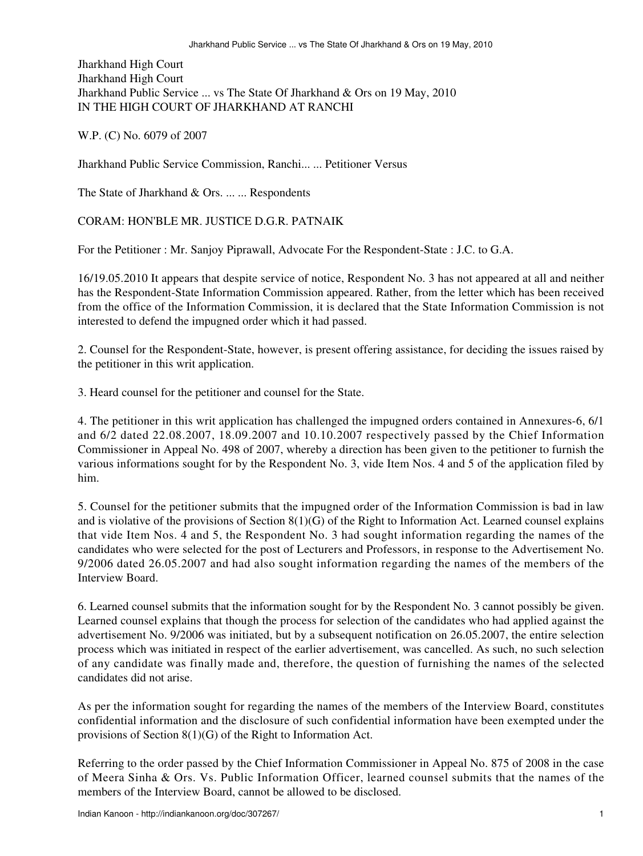Jharkhand High Court Jharkhand High Court Jharkhand Public Service ... vs The State Of Jharkhand & Ors on 19 May, 2010 IN THE HIGH COURT OF JHARKHAND AT RANCHI

W.P. (C) No. 6079 of 2007

Jharkhand Public Service Commission, Ranchi... ... Petitioner Versus

The State of Jharkhand & Ors. ... ... Respondents

CORAM: HON'BLE MR. JUSTICE D.G.R. PATNAIK

For the Petitioner : Mr. Sanjoy Piprawall, Advocate For the Respondent-State : J.C. to G.A.

16/19.05.2010 It appears that despite service of notice, Respondent No. 3 has not appeared at all and neither has the Respondent-State Information Commission appeared. Rather, from the letter which has been received from the office of the Information Commission, it is declared that the State Information Commission is not interested to defend the impugned order which it had passed.

2. Counsel for the Respondent-State, however, is present offering assistance, for deciding the issues raised by the petitioner in this writ application.

3. Heard counsel for the petitioner and counsel for the State.

4. The petitioner in this writ application has challenged the impugned orders contained in Annexures-6, 6/1 and 6/2 dated 22.08.2007, 18.09.2007 and 10.10.2007 respectively passed by the Chief Information Commissioner in Appeal No. 498 of 2007, whereby a direction has been given to the petitioner to furnish the various informations sought for by the Respondent No. 3, vide Item Nos. 4 and 5 of the application filed by him.

5. Counsel for the petitioner submits that the impugned order of the Information Commission is bad in law and is violative of the provisions of Section 8(1)(G) of the Right to Information Act. Learned counsel explains that vide Item Nos. 4 and 5, the Respondent No. 3 had sought information regarding the names of the candidates who were selected for the post of Lecturers and Professors, in response to the Advertisement No. 9/2006 dated 26.05.2007 and had also sought information regarding the names of the members of the Interview Board.

6. Learned counsel submits that the information sought for by the Respondent No. 3 cannot possibly be given. Learned counsel explains that though the process for selection of the candidates who had applied against the advertisement No. 9/2006 was initiated, but by a subsequent notification on 26.05.2007, the entire selection process which was initiated in respect of the earlier advertisement, was cancelled. As such, no such selection of any candidate was finally made and, therefore, the question of furnishing the names of the selected candidates did not arise.

As per the information sought for regarding the names of the members of the Interview Board, constitutes confidential information and the disclosure of such confidential information have been exempted under the provisions of Section 8(1)(G) of the Right to Information Act.

Referring to the order passed by the Chief Information Commissioner in Appeal No. 875 of 2008 in the case of Meera Sinha & Ors. Vs. Public Information Officer, learned counsel submits that the names of the members of the Interview Board, cannot be allowed to be disclosed.